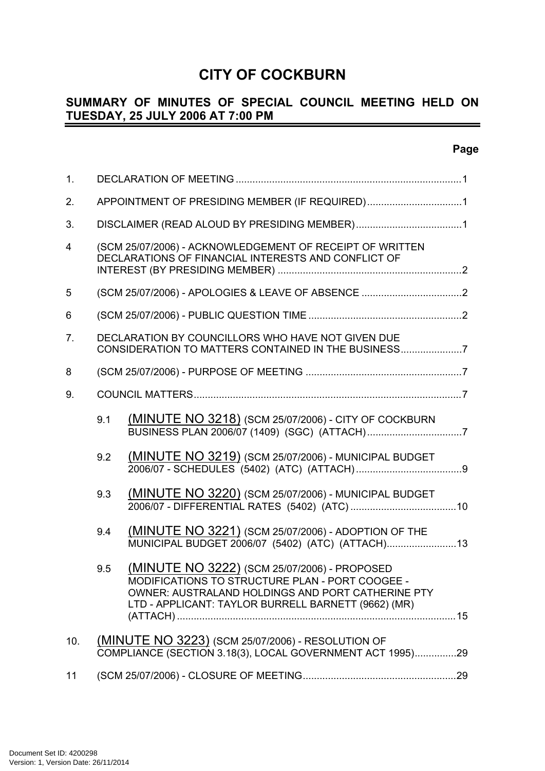## **CITY OF COCKBURN**

#### **SUMMARY OF MINUTES OF SPECIAL COUNCIL MEETING HELD ON TUESDAY, 25 JULY 2006 AT 7:00 PM** -

## **Page**

| 1.             |                                                                                                                       |                                                                                                                                                                                                           |  |  |  |
|----------------|-----------------------------------------------------------------------------------------------------------------------|-----------------------------------------------------------------------------------------------------------------------------------------------------------------------------------------------------------|--|--|--|
| 2.             | APPOINTMENT OF PRESIDING MEMBER (IF REQUIRED)1                                                                        |                                                                                                                                                                                                           |  |  |  |
| 3.             |                                                                                                                       |                                                                                                                                                                                                           |  |  |  |
| 4              | (SCM 25/07/2006) - ACKNOWLEDGEMENT OF RECEIPT OF WRITTEN<br>DECLARATIONS OF FINANCIAL INTERESTS AND CONFLICT OF       |                                                                                                                                                                                                           |  |  |  |
| 5              | (SCM 25/07/2006) - APOLOGIES & LEAVE OF ABSENCE 2                                                                     |                                                                                                                                                                                                           |  |  |  |
| 6              |                                                                                                                       |                                                                                                                                                                                                           |  |  |  |
| 7 <sub>1</sub> | DECLARATION BY COUNCILLORS WHO HAVE NOT GIVEN DUE<br>CONSIDERATION TO MATTERS CONTAINED IN THE BUSINESS7              |                                                                                                                                                                                                           |  |  |  |
| 8              |                                                                                                                       |                                                                                                                                                                                                           |  |  |  |
| 9.             |                                                                                                                       |                                                                                                                                                                                                           |  |  |  |
|                | 9.1                                                                                                                   | (MINUTE NO 3218) (SCM 25/07/2006) - CITY OF COCKBURN                                                                                                                                                      |  |  |  |
|                | 9.2                                                                                                                   | (MINUTE NO 3219) (SCM 25/07/2006) - MUNICIPAL BUDGET                                                                                                                                                      |  |  |  |
|                | 9.3                                                                                                                   | (MINUTE NO 3220) (SCM 25/07/2006) - MUNICIPAL BUDGET                                                                                                                                                      |  |  |  |
|                | 9.4                                                                                                                   | (MINUTE NO 3221) (SCM 25/07/2006) - ADOPTION OF THE<br>MUNICIPAL BUDGET 2006/07 (5402) (ATC) (ATTACH)13                                                                                                   |  |  |  |
|                | 9.5                                                                                                                   | (MINUTE NO 3222) (SCM 25/07/2006) - PROPOSED<br>MODIFICATIONS TO STRUCTURE PLAN - PORT COOGEE<br>OWNER: AUSTRALAND HOLDINGS AND PORT CATHERINE PTY<br>LTD - APPLICANT: TAYLOR BURRELL BARNETT (9662) (MR) |  |  |  |
| 10.            | <b>(MINUTE NO 3223)</b> (SCM 25/07/2006) - RESOLUTION OF<br>COMPLIANCE (SECTION 3.18(3), LOCAL GOVERNMENT ACT 1995)29 |                                                                                                                                                                                                           |  |  |  |
| 11             |                                                                                                                       |                                                                                                                                                                                                           |  |  |  |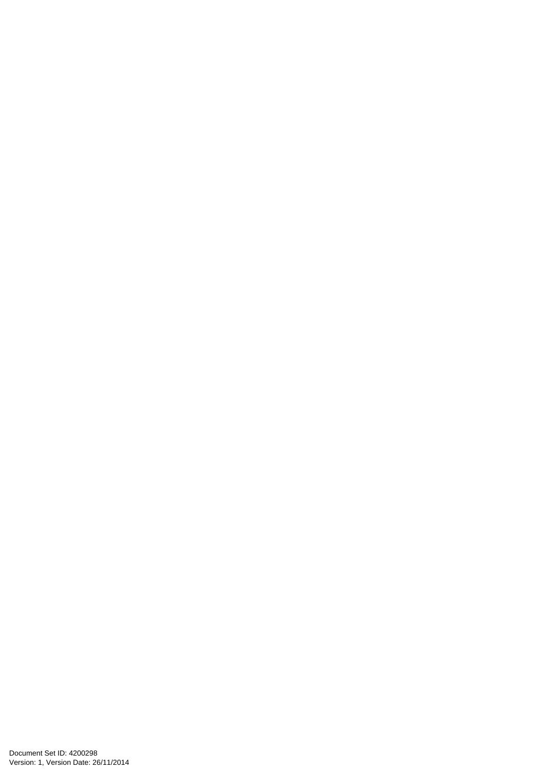Document Set ID: 4200298<br>Version: 1, Version Date: 26/11/2014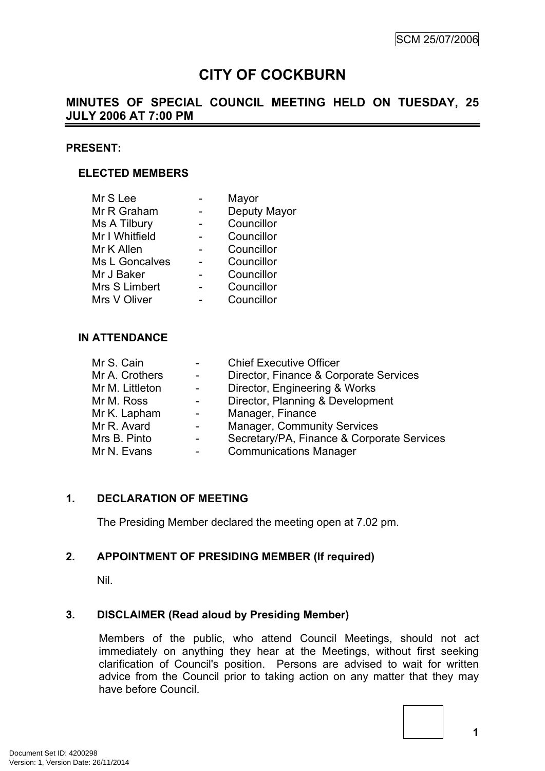# **CITY OF COCKBURN**

## **MINUTES OF SPECIAL COUNCIL MEETING HELD ON TUESDAY, 25 JULY 2006 AT 7:00 PM**

#### **PRESENT:**

#### **ELECTED MEMBERS**

| Mr S Lee              | Mayor        |
|-----------------------|--------------|
| Mr R Graham           | Deputy Mayor |
| Ms A Tilbury          | Councillor   |
| Mr I Whitfield        | Councillor   |
| Mr K Allen            | Councillor   |
| <b>Ms L Goncalves</b> | Councillor   |
| Mr J Baker            | Councillor   |
| Mrs S Limbert         | Councillor   |
| Mrs V Oliver          | Councillor   |
|                       |              |

#### **IN ATTENDANCE**

| Mr S. Cain      |        | <b>Chief Executive Officer</b>             |
|-----------------|--------|--------------------------------------------|
| Mr A. Crothers  |        | Director, Finance & Corporate Services     |
| Mr M. Littleton | $\sim$ | Director, Engineering & Works              |
| Mr M. Ross      |        | Director, Planning & Development           |
| Mr K. Lapham    |        | Manager, Finance                           |
| Mr R. Avard     |        | <b>Manager, Community Services</b>         |
| Mrs B. Pinto    |        | Secretary/PA, Finance & Corporate Services |
| Mr N. Evans     | -      | <b>Communications Manager</b>              |

## <span id="page-2-0"></span>**1. DECLARATION OF MEETING**

The Presiding Member declared the meeting open at 7.02 pm.

#### <span id="page-2-1"></span>**2. APPOINTMENT OF PRESIDING MEMBER (If required)**

Nil.

#### <span id="page-2-2"></span>**3. DISCLAIMER (Read aloud by Presiding Member)**

Members of the public, who attend Council Meetings, should not act immediately on anything they hear at the Meetings, without first seeking clarification of Council's position. Persons are advised to wait for written advice from the Council prior to taking action on any matter that they may have before Council.

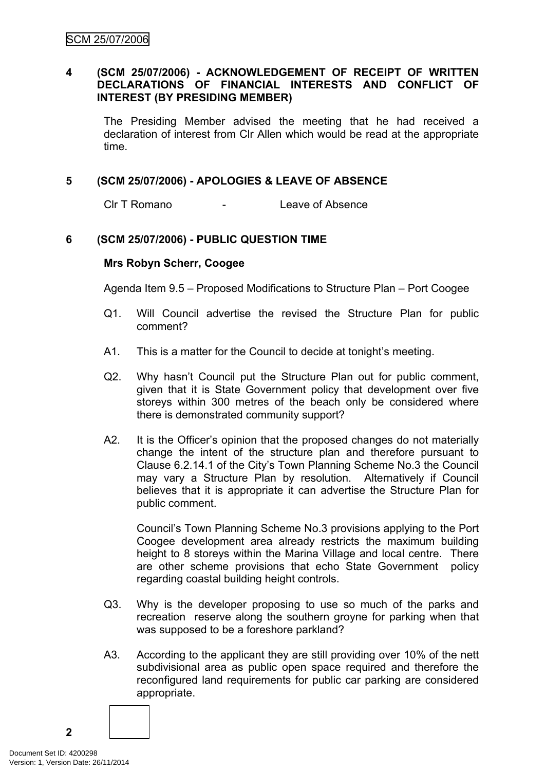## <span id="page-3-0"></span>**4 (SCM 25/07/2006) - ACKNOWLEDGEMENT OF RECEIPT OF WRITTEN DECLARATIONS OF FINANCIAL INTERESTS AND CONFLICT OF INTEREST (BY PRESIDING MEMBER)**

The Presiding Member advised the meeting that he had received a declaration of interest from Clr Allen which would be read at the appropriate time.

#### <span id="page-3-1"></span>**5 (SCM 25/07/2006) - APOLOGIES & LEAVE OF ABSENCE**

Clr T Romano **-** Leave of Absence

#### <span id="page-3-2"></span>**6 (SCM 25/07/2006) - PUBLIC QUESTION TIME**

#### **Mrs Robyn Scherr, Coogee**

Agenda Item 9.5 – Proposed Modifications to Structure Plan – Port Coogee

- Q1. Will Council advertise the revised the Structure Plan for public comment?
- A1. This is a matter for the Council to decide at tonight's meeting.
- Q2. Why hasn't Council put the Structure Plan out for public comment, given that it is State Government policy that development over five storeys within 300 metres of the beach only be considered where there is demonstrated community support?
- A2. It is the Officer's opinion that the proposed changes do not materially change the intent of the structure plan and therefore pursuant to Clause 6.2.14.1 of the City's Town Planning Scheme No.3 the Council may vary a Structure Plan by resolution. Alternatively if Council believes that it is appropriate it can advertise the Structure Plan for public comment.

Council's Town Planning Scheme No.3 provisions applying to the Port Coogee development area already restricts the maximum building height to 8 storeys within the Marina Village and local centre. There are other scheme provisions that echo State Government policy regarding coastal building height controls.

- Q3. Why is the developer proposing to use so much of the parks and recreation reserve along the southern groyne for parking when that was supposed to be a foreshore parkland?
- A3. According to the applicant they are still providing over 10% of the nett subdivisional area as public open space required and therefore the reconfigured land requirements for public car parking are considered appropriate.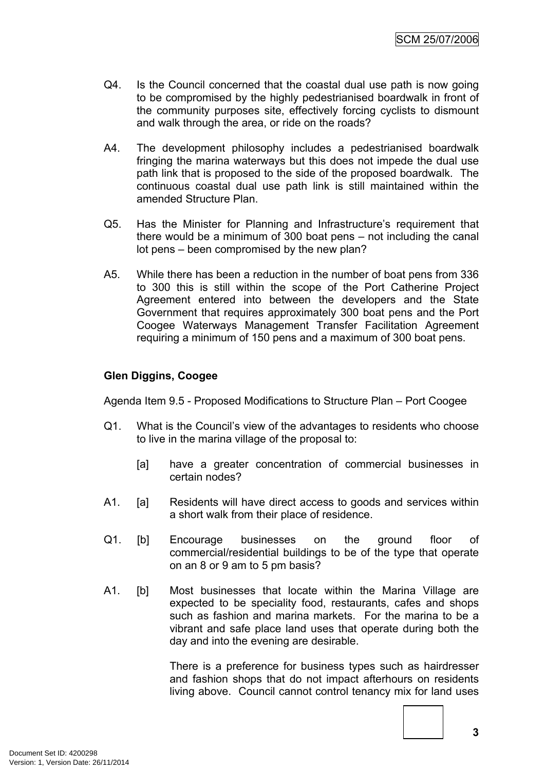- Q4. Is the Council concerned that the coastal dual use path is now going to be compromised by the highly pedestrianised boardwalk in front of the community purposes site, effectively forcing cyclists to dismount and walk through the area, or ride on the roads?
- A4. The development philosophy includes a pedestrianised boardwalk fringing the marina waterways but this does not impede the dual use path link that is proposed to the side of the proposed boardwalk. The continuous coastal dual use path link is still maintained within the amended Structure Plan.
- Q5. Has the Minister for Planning and Infrastructure's requirement that there would be a minimum of 300 boat pens – not including the canal lot pens – been compromised by the new plan?
- A5. While there has been a reduction in the number of boat pens from 336 to 300 this is still within the scope of the Port Catherine Project Agreement entered into between the developers and the State Government that requires approximately 300 boat pens and the Port Coogee Waterways Management Transfer Facilitation Agreement requiring a minimum of 150 pens and a maximum of 300 boat pens.

#### **Glen Diggins, Coogee**

Agenda Item 9.5 - Proposed Modifications to Structure Plan – Port Coogee

- Q1. What is the Council's view of the advantages to residents who choose to live in the marina village of the proposal to:
	- [a] have a greater concentration of commercial businesses in certain nodes?
- A1. [a] Residents will have direct access to goods and services within a short walk from their place of residence.
- Q1. [b] Encourage businesses on the ground floor of commercial/residential buildings to be of the type that operate on an 8 or 9 am to 5 pm basis?
- A1. [b] Most businesses that locate within the Marina Village are expected to be speciality food, restaurants, cafes and shops such as fashion and marina markets. For the marina to be a vibrant and safe place land uses that operate during both the day and into the evening are desirable.

There is a preference for business types such as hairdresser and fashion shops that do not impact afterhours on residents living above. Council cannot control tenancy mix for land uses

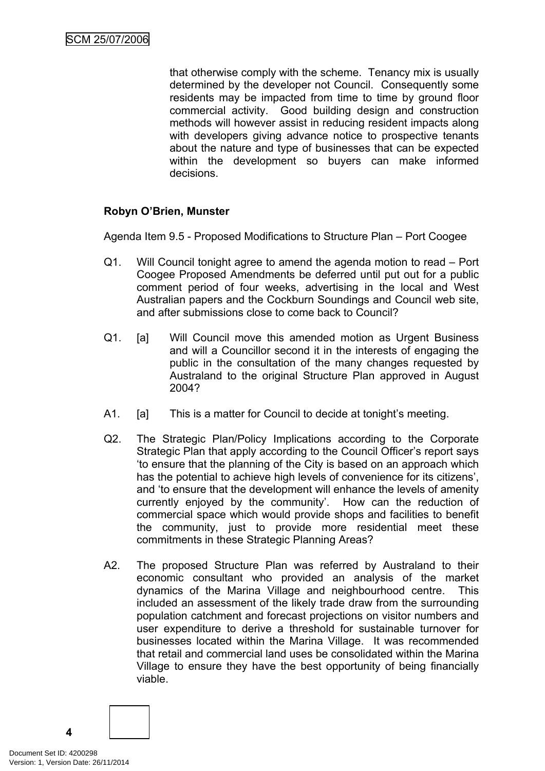that otherwise comply with the scheme. Tenancy mix is usually determined by the developer not Council. Consequently some residents may be impacted from time to time by ground floor commercial activity. Good building design and construction methods will however assist in reducing resident impacts along with developers giving advance notice to prospective tenants about the nature and type of businesses that can be expected within the development so buyers can make informed decisions.

## **Robyn O'Brien, Munster**

Agenda Item 9.5 - Proposed Modifications to Structure Plan – Port Coogee

- Q1. Will Council tonight agree to amend the agenda motion to read Port Coogee Proposed Amendments be deferred until put out for a public comment period of four weeks, advertising in the local and West Australian papers and the Cockburn Soundings and Council web site, and after submissions close to come back to Council?
- Q1. [a] Will Council move this amended motion as Urgent Business and will a Councillor second it in the interests of engaging the public in the consultation of the many changes requested by Australand to the original Structure Plan approved in August 2004?
- A1. [a] This is a matter for Council to decide at tonight's meeting.
- Q2. The Strategic Plan/Policy Implications according to the Corporate Strategic Plan that apply according to the Council Officer's report says 'to ensure that the planning of the City is based on an approach which has the potential to achieve high levels of convenience for its citizens', and 'to ensure that the development will enhance the levels of amenity currently enjoyed by the community'. How can the reduction of commercial space which would provide shops and facilities to benefit the community, just to provide more residential meet these commitments in these Strategic Planning Areas?
- A2. The proposed Structure Plan was referred by Australand to their economic consultant who provided an analysis of the market dynamics of the Marina Village and neighbourhood centre. This included an assessment of the likely trade draw from the surrounding population catchment and forecast projections on visitor numbers and user expenditure to derive a threshold for sustainable turnover for businesses located within the Marina Village. It was recommended that retail and commercial land uses be consolidated within the Marina Village to ensure they have the best opportunity of being financially viable.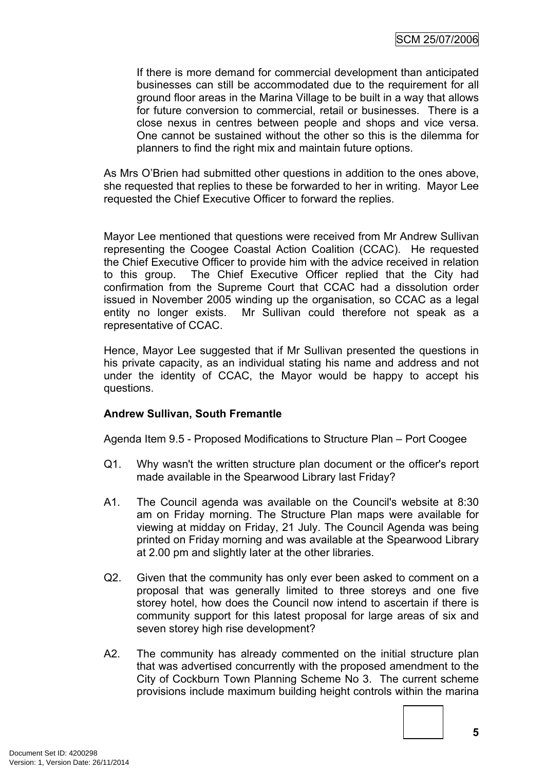If there is more demand for commercial development than anticipated businesses can still be accommodated due to the requirement for all ground floor areas in the Marina Village to be built in a way that allows for future conversion to commercial, retail or businesses. There is a close nexus in centres between people and shops and vice versa. One cannot be sustained without the other so this is the dilemma for planners to find the right mix and maintain future options.

As Mrs O'Brien had submitted other questions in addition to the ones above, she requested that replies to these be forwarded to her in writing. Mayor Lee requested the Chief Executive Officer to forward the replies.

Mayor Lee mentioned that questions were received from Mr Andrew Sullivan representing the Coogee Coastal Action Coalition (CCAC). He requested the Chief Executive Officer to provide him with the advice received in relation to this group. The Chief Executive Officer replied that the City had confirmation from the Supreme Court that CCAC had a dissolution order issued in November 2005 winding up the organisation, so CCAC as a legal entity no longer exists. Mr Sullivan could therefore not speak as a representative of CCAC.

Hence, Mayor Lee suggested that if Mr Sullivan presented the questions in his private capacity, as an individual stating his name and address and not under the identity of CCAC, the Mayor would be happy to accept his questions.

## **Andrew Sullivan, South Fremantle**

Agenda Item 9.5 - Proposed Modifications to Structure Plan – Port Coogee

- Q1. Why wasn't the written structure plan document or the officer's report made available in the Spearwood Library last Friday?
- A1. The Council agenda was available on the Council's website at 8:30 am on Friday morning. The Structure Plan maps were available for viewing at midday on Friday, 21 July. The Council Agenda was being printed on Friday morning and was available at the Spearwood Library at 2.00 pm and slightly later at the other libraries.
- Q2. Given that the community has only ever been asked to comment on a proposal that was generally limited to three storeys and one five storey hotel, how does the Council now intend to ascertain if there is community support for this latest proposal for large areas of six and seven storey high rise development?
- A2. The community has already commented on the initial structure plan that was advertised concurrently with the proposed amendment to the City of Cockburn Town Planning Scheme No 3. The current scheme provisions include maximum building height controls within the marina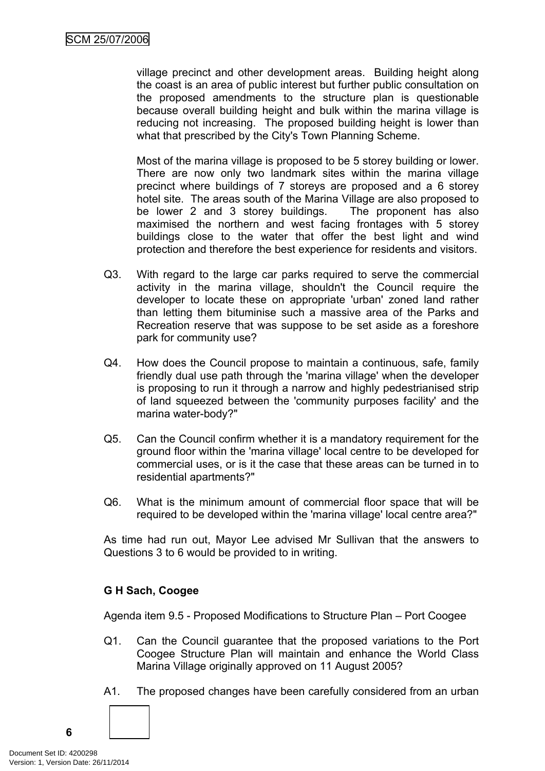village precinct and other development areas. Building height along the coast is an area of public interest but further public consultation on the proposed amendments to the structure plan is questionable because overall building height and bulk within the marina village is reducing not increasing. The proposed building height is lower than what that prescribed by the City's Town Planning Scheme.

Most of the marina village is proposed to be 5 storey building or lower. There are now only two landmark sites within the marina village precinct where buildings of 7 storeys are proposed and a 6 storey hotel site. The areas south of the Marina Village are also proposed to be lower 2 and 3 storey buildings. The proponent has also maximised the northern and west facing frontages with 5 storey buildings close to the water that offer the best light and wind protection and therefore the best experience for residents and visitors.

- Q3. With regard to the large car parks required to serve the commercial activity in the marina village, shouldn't the Council require the developer to locate these on appropriate 'urban' zoned land rather than letting them bituminise such a massive area of the Parks and Recreation reserve that was suppose to be set aside as a foreshore park for community use?
- Q4. How does the Council propose to maintain a continuous, safe, family friendly dual use path through the 'marina village' when the developer is proposing to run it through a narrow and highly pedestrianised strip of land squeezed between the 'community purposes facility' and the marina water-body?"
- Q5. Can the Council confirm whether it is a mandatory requirement for the ground floor within the 'marina village' local centre to be developed for commercial uses, or is it the case that these areas can be turned in to residential apartments?"
- Q6. What is the minimum amount of commercial floor space that will be required to be developed within the 'marina village' local centre area?"

As time had run out, Mayor Lee advised Mr Sullivan that the answers to Questions 3 to 6 would be provided to in writing.

## **G H Sach, Coogee**

Agenda item 9.5 - Proposed Modifications to Structure Plan – Port Coogee

- Q1. Can the Council guarantee that the proposed variations to the Port Coogee Structure Plan will maintain and enhance the World Class Marina Village originally approved on 11 August 2005?
- A1. The proposed changes have been carefully considered from an urban

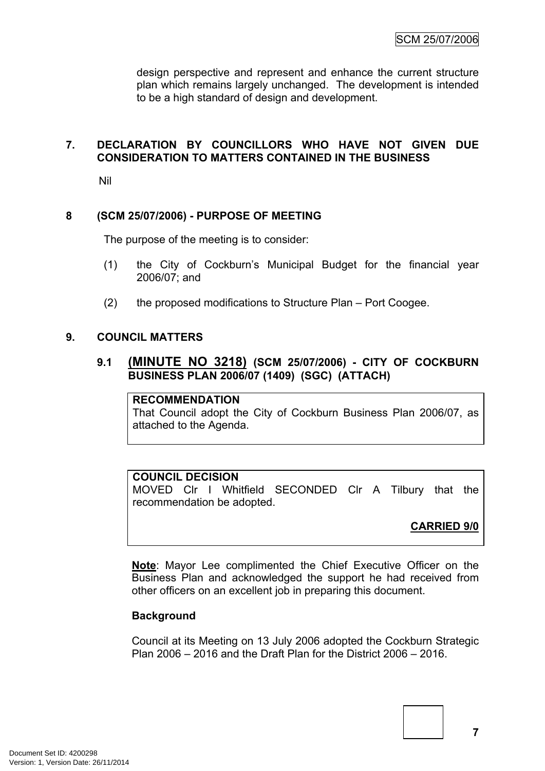design perspective and represent and enhance the current structure plan which remains largely unchanged. The development is intended to be a high standard of design and development.

## <span id="page-8-0"></span>**7. DECLARATION BY COUNCILLORS WHO HAVE NOT GIVEN DUE CONSIDERATION TO MATTERS CONTAINED IN THE BUSINESS**

Nil

## <span id="page-8-1"></span>**8 (SCM 25/07/2006) - PURPOSE OF MEETING**

The purpose of the meeting is to consider:

- (1) the City of Cockburn's Municipal Budget for the financial year 2006/07; and
- (2) the proposed modifications to Structure Plan Port Coogee.

#### <span id="page-8-2"></span>**9. COUNCIL MATTERS**

<span id="page-8-3"></span>**9.1 (MINUTE NO 3218) (SCM 25/07/2006) - CITY OF COCKBURN BUSINESS PLAN 2006/07 (1409) (SGC) (ATTACH)**

#### **RECOMMENDATION**

That Council adopt the City of Cockburn Business Plan 2006/07, as attached to the Agenda.

#### **COUNCIL DECISION**

MOVED Clr I Whitfield SECONDED Clr A Tilbury that the recommendation be adopted.

## **CARRIED 9/0**

**Note**: Mayor Lee complimented the Chief Executive Officer on the Business Plan and acknowledged the support he had received from other officers on an excellent job in preparing this document.

#### **Background**

Council at its Meeting on 13 July 2006 adopted the Cockburn Strategic Plan 2006 – 2016 and the Draft Plan for the District 2006 – 2016.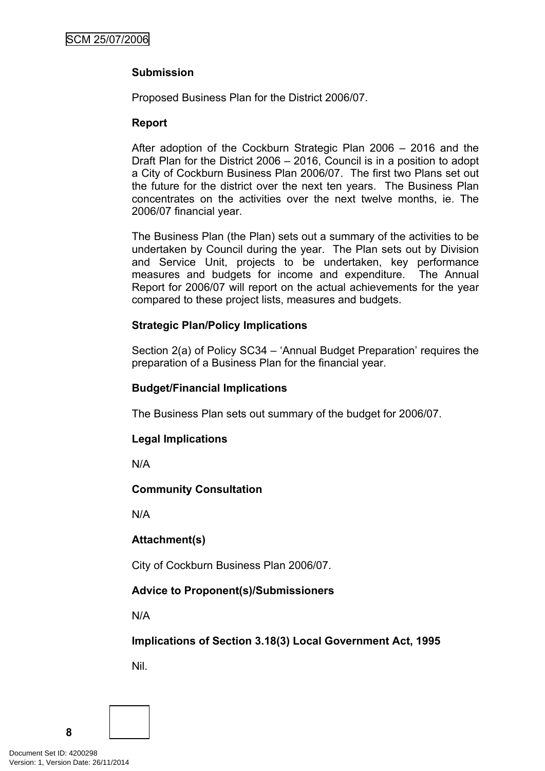#### **Submission**

Proposed Business Plan for the District 2006/07.

#### **Report**

After adoption of the Cockburn Strategic Plan 2006 – 2016 and the Draft Plan for the District 2006 – 2016, Council is in a position to adopt a City of Cockburn Business Plan 2006/07. The first two Plans set out the future for the district over the next ten years. The Business Plan concentrates on the activities over the next twelve months, ie. The 2006/07 financial year.

The Business Plan (the Plan) sets out a summary of the activities to be undertaken by Council during the year. The Plan sets out by Division and Service Unit, projects to be undertaken, key performance measures and budgets for income and expenditure. The Annual Report for 2006/07 will report on the actual achievements for the year compared to these project lists, measures and budgets.

#### **Strategic Plan/Policy Implications**

Section 2(a) of Policy SC34 – 'Annual Budget Preparation' requires the preparation of a Business Plan for the financial year.

#### **Budget/Financial Implications**

The Business Plan sets out summary of the budget for 2006/07.

#### **Legal Implications**

N/A

#### **Community Consultation**

N/A

#### **Attachment(s)**

City of Cockburn Business Plan 2006/07.

## **Advice to Proponent(s)/Submissioners**

N/A

## **Implications of Section 3.18(3) Local Government Act, 1995**

Nil.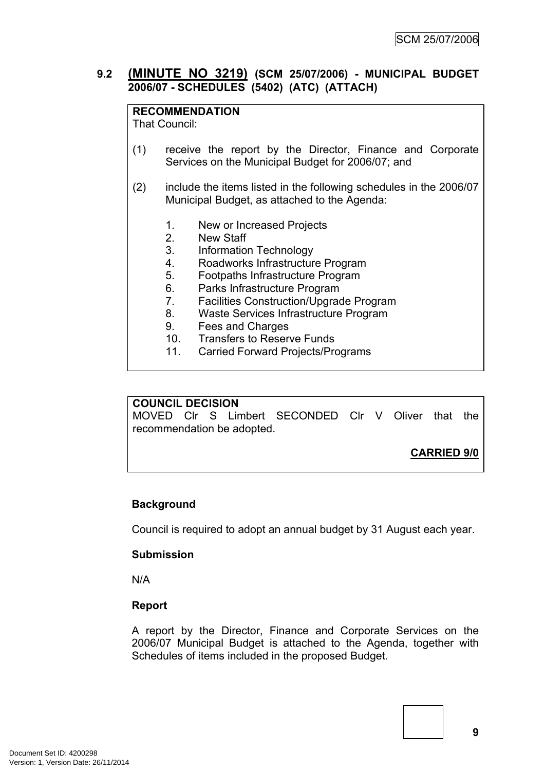## <span id="page-10-0"></span>**9.2 (MINUTE NO 3219) (SCM 25/07/2006) - MUNICIPAL BUDGET 2006/07 - SCHEDULES (5402) (ATC) (ATTACH)**

#### **RECOMMENDATION**

That Council:

- (1) receive the report by the Director, Finance and Corporate Services on the Municipal Budget for 2006/07; and
- (2) include the items listed in the following schedules in the 2006/07 Municipal Budget, as attached to the Agenda:
	- 1. New or Increased Projects
	- 2. New Staff
	- 3. Information Technology
	- 4. Roadworks Infrastructure Program
	- 5. Footpaths Infrastructure Program
	- 6. Parks Infrastructure Program
	- 7. Facilities Construction/Upgrade Program
	- 8. Waste Services Infrastructure Program
	- 9. Fees and Charges
	- 10. Transfers to Reserve Funds
	- 11. Carried Forward Projects/Programs

#### **COUNCIL DECISION**

MOVED Clr S Limbert SECONDED Clr V Oliver that the recommendation be adopted.

#### **CARRIED 9/0**

#### **Background**

Council is required to adopt an annual budget by 31 August each year.

#### **Submission**

N/A

#### **Report**

A report by the Director, Finance and Corporate Services on the 2006/07 Municipal Budget is attached to the Agenda, together with Schedules of items included in the proposed Budget.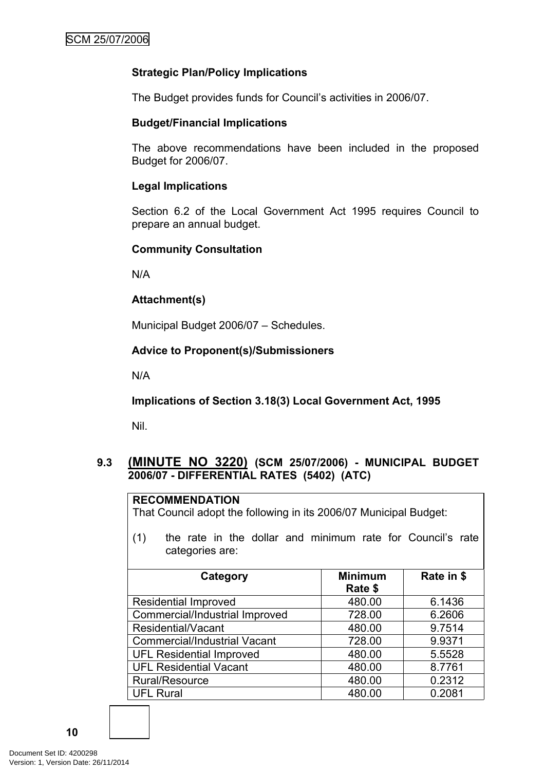## **Strategic Plan/Policy Implications**

The Budget provides funds for Council's activities in 2006/07.

## **Budget/Financial Implications**

The above recommendations have been included in the proposed Budget for 2006/07.

## **Legal Implications**

Section 6.2 of the Local Government Act 1995 requires Council to prepare an annual budget.

## **Community Consultation**

N/A

## **Attachment(s)**

Municipal Budget 2006/07 – Schedules.

## **Advice to Proponent(s)/Submissioners**

N/A

**Implications of Section 3.18(3) Local Government Act, 1995**

Nil.

## <span id="page-11-0"></span>**9.3 (MINUTE NO 3220) (SCM 25/07/2006) - MUNICIPAL BUDGET 2006/07 - DIFFERENTIAL RATES (5402) (ATC)**

## **RECOMMENDATION**

That Council adopt the following in its 2006/07 Municipal Budget:

(1) the rate in the dollar and minimum rate for Council's rate categories are:

| Category                            | <b>Minimum</b><br>Rate \$ | Rate in \$ |
|-------------------------------------|---------------------------|------------|
| <b>Residential Improved</b>         | 480.00                    | 6.1436     |
| Commercial/Industrial Improved      | 728.00                    | 6.2606     |
| Residential/Vacant                  | 480.00                    | 9.7514     |
| <b>Commercial/Industrial Vacant</b> | 728.00                    | 9.9371     |
| <b>UFL Residential Improved</b>     | 480.00                    | 5.5528     |
| <b>UFL Residential Vacant</b>       | 480.00                    | 8.7761     |
| Rural/Resource                      | 480.00                    | 0.2312     |
| <b>UFL Rural</b>                    | 480.00                    | 0.2081     |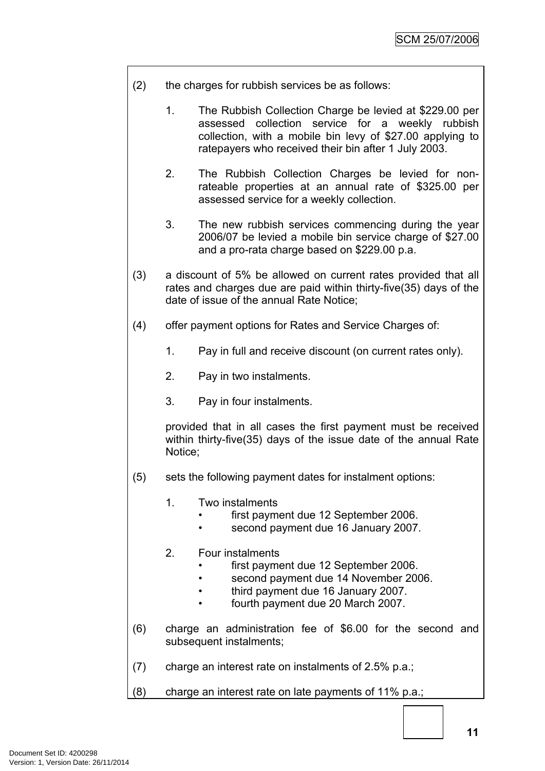- (2) the charges for rubbish services be as follows:
	- 1. The Rubbish Collection Charge be levied at \$229.00 per assessed collection service for a weekly rubbish collection, with a mobile bin levy of \$27.00 applying to ratepayers who received their bin after 1 July 2003.
	- 2. The Rubbish Collection Charges be levied for nonrateable properties at an annual rate of \$325.00 per assessed service for a weekly collection.
	- 3. The new rubbish services commencing during the year 2006/07 be levied a mobile bin service charge of \$27.00 and a pro-rata charge based on \$229.00 p.a.
- (3) a discount of 5% be allowed on current rates provided that all rates and charges due are paid within thirty-five(35) days of the date of issue of the annual Rate Notice;
- (4) offer payment options for Rates and Service Charges of:
	- 1. Pay in full and receive discount (on current rates only).
	- 2. Pay in two instalments.
	- 3. Pay in four instalments.

provided that in all cases the first payment must be received within thirty-five(35) days of the issue date of the annual Rate Notice;

- (5) sets the following payment dates for instalment options:
	- 1. Two instalments
		- first payment due 12 September 2006.
			- second payment due 16 January 2007.
	- 2. Four instalments
		- first payment due 12 September 2006.
		- second payment due 14 November 2006.
		- third payment due 16 January 2007.
		- fourth payment due 20 March 2007.
- (6) charge an administration fee of \$6.00 for the second and subsequent instalments;
- (7) charge an interest rate on instalments of 2.5% p.a.;
- (8) charge an interest rate on late payments of 11% p.a.;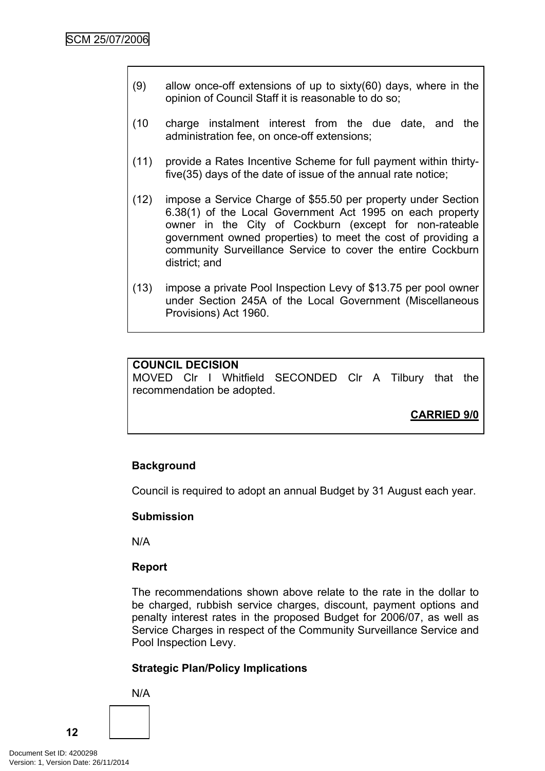- (9) allow once-off extensions of up to sixty(60) days, where in the opinion of Council Staff it is reasonable to do so;
- (10 charge instalment interest from the due date, and the administration fee, on once-off extensions;
- (11) provide a Rates Incentive Scheme for full payment within thirtyfive(35) days of the date of issue of the annual rate notice;
- (12) impose a Service Charge of \$55.50 per property under Section 6.38(1) of the Local Government Act 1995 on each property owner in the City of Cockburn (except for non-rateable government owned properties) to meet the cost of providing a community Surveillance Service to cover the entire Cockburn district; and
- (13) impose a private Pool Inspection Levy of \$13.75 per pool owner under Section 245A of the Local Government (Miscellaneous Provisions) Act 1960.

#### **COUNCIL DECISION**

MOVED Clr I Whitfield SECONDED Clr A Tilbury that the recommendation be adopted.

**CARRIED 9/0**

#### **Background**

Council is required to adopt an annual Budget by 31 August each year.

#### **Submission**

N/A

#### **Report**

The recommendations shown above relate to the rate in the dollar to be charged, rubbish service charges, discount, payment options and penalty interest rates in the proposed Budget for 2006/07, as well as Service Charges in respect of the Community Surveillance Service and Pool Inspection Levy.

#### **Strategic Plan/Policy Implications**

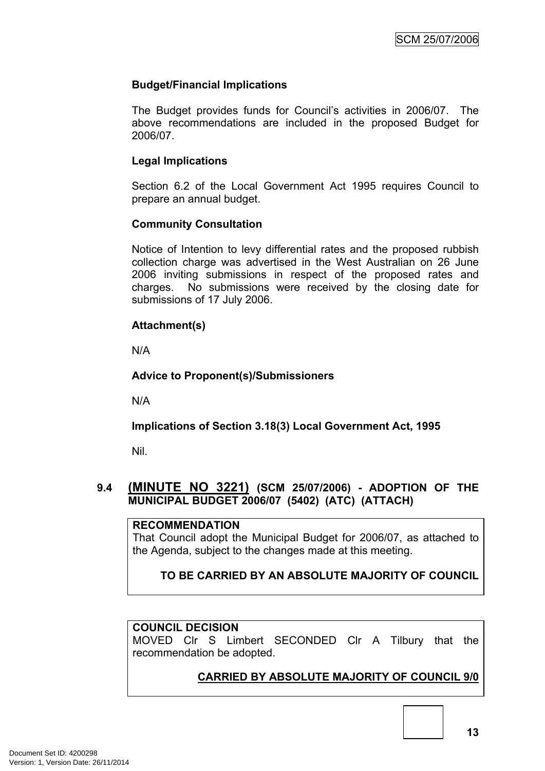## **Budget/Financial Implications**

The Budget provides funds for Council's activities in 2006/07. The above recommendations are included in the proposed Budget for 2006/07.

#### **Legal Implications**

Section 6.2 of the Local Government Act 1995 requires Council to prepare an annual budget.

## **Community Consultation**

Notice of Intention to levy differential rates and the proposed rubbish collection charge was advertised in the West Australian on 26 June 2006 inviting submissions in respect of the proposed rates and charges. No submissions were received by the closing date for submissions of 17 July 2006.

## **Attachment(s)**

N/A

## **Advice to Proponent(s)/Submissioners**

N/A

## **Implications of Section 3.18(3) Local Government Act, 1995**

Nil.

## <span id="page-14-0"></span>**9.4 (MINUTE NO 3221) (SCM 25/07/2006) - ADOPTION OF THE MUNICIPAL BUDGET 2006/07 (5402) (ATC) (ATTACH)**

#### **RECOMMENDATION**

That Council adopt the Municipal Budget for 2006/07, as attached to the Agenda, subject to the changes made at this meeting.

## **TO BE CARRIED BY AN ABSOLUTE MAJORITY OF COUNCIL**

#### **COUNCIL DECISION**

MOVED Clr S Limbert SECONDED Clr A Tilbury that the recommendation be adopted.

## **CARRIED BY ABSOLUTE MAJORITY OF COUNCIL 9/0**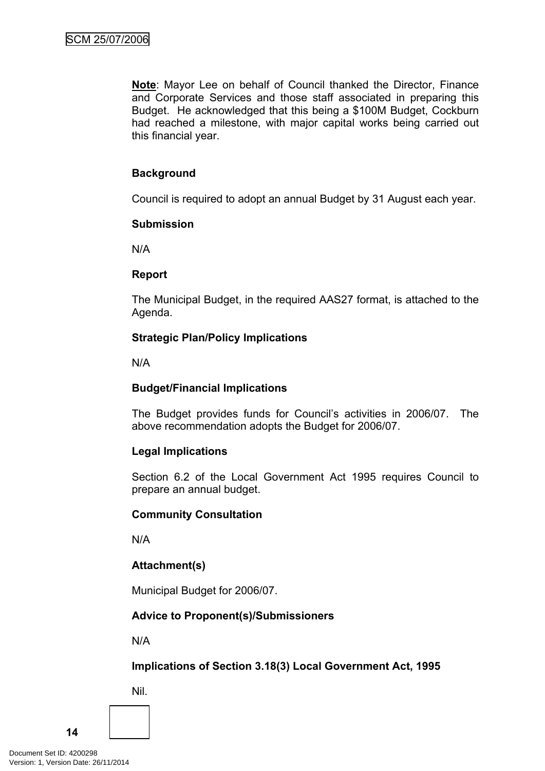**Note**: Mayor Lee on behalf of Council thanked the Director, Finance and Corporate Services and those staff associated in preparing this Budget. He acknowledged that this being a \$100M Budget, Cockburn had reached a milestone, with major capital works being carried out this financial year.

## **Background**

Council is required to adopt an annual Budget by 31 August each year.

#### **Submission**

N/A

#### **Report**

The Municipal Budget, in the required AAS27 format, is attached to the Agenda.

## **Strategic Plan/Policy Implications**

N/A

## **Budget/Financial Implications**

The Budget provides funds for Council's activities in 2006/07. The above recommendation adopts the Budget for 2006/07.

#### **Legal Implications**

Section 6.2 of the Local Government Act 1995 requires Council to prepare an annual budget.

#### **Community Consultation**

N/A

## **Attachment(s)**

Municipal Budget for 2006/07.

## **Advice to Proponent(s)/Submissioners**

N/A

**Implications of Section 3.18(3) Local Government Act, 1995**

Nil.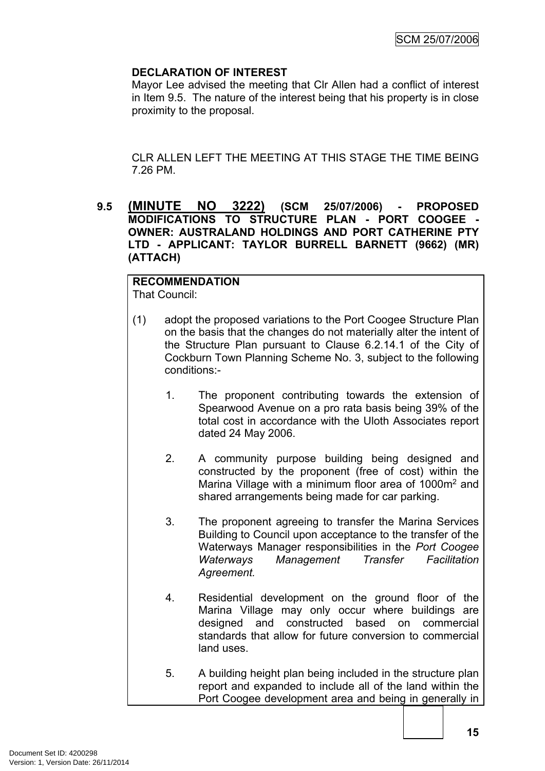## **DECLARATION OF INTEREST**

Mayor Lee advised the meeting that Clr Allen had a conflict of interest in Item 9.5. The nature of the interest being that his property is in close proximity to the proposal.

CLR ALLEN LEFT THE MEETING AT THIS STAGE THE TIME BEING. 7.26 PM.

<span id="page-16-0"></span>**9.5 (MINUTE NO 3222) (SCM 25/07/2006) - PROPOSED MODIFICATIONS TO STRUCTURE PLAN - PORT COOGEE - OWNER: AUSTRALAND HOLDINGS AND PORT CATHERINE PTY LTD - APPLICANT: TAYLOR BURRELL BARNETT (9662) (MR) (ATTACH)**

# **RECOMMENDATION**

That Council:

- (1) adopt the proposed variations to the Port Coogee Structure Plan on the basis that the changes do not materially alter the intent of the Structure Plan pursuant to Clause 6.2.14.1 of the City of Cockburn Town Planning Scheme No. 3, subject to the following conditions:-
	- 1. The proponent contributing towards the extension of Spearwood Avenue on a pro rata basis being 39% of the total cost in accordance with the Uloth Associates report dated 24 May 2006.
	- 2. A community purpose building being designed and constructed by the proponent (free of cost) within the Marina Village with a minimum floor area of 1000m<sup>2</sup> and shared arrangements being made for car parking.
	- 3. The proponent agreeing to transfer the Marina Services Building to Council upon acceptance to the transfer of the Waterways Manager responsibilities in the *Port Coogee Waterways Management Transfer Facilitation Agreement.*
	- 4. Residential development on the ground floor of the Marina Village may only occur where buildings are designed and constructed based on commercial standards that allow for future conversion to commercial land uses.
	- 5. A building height plan being included in the structure plan report and expanded to include all of the land within the Port Coogee development area and being in generally in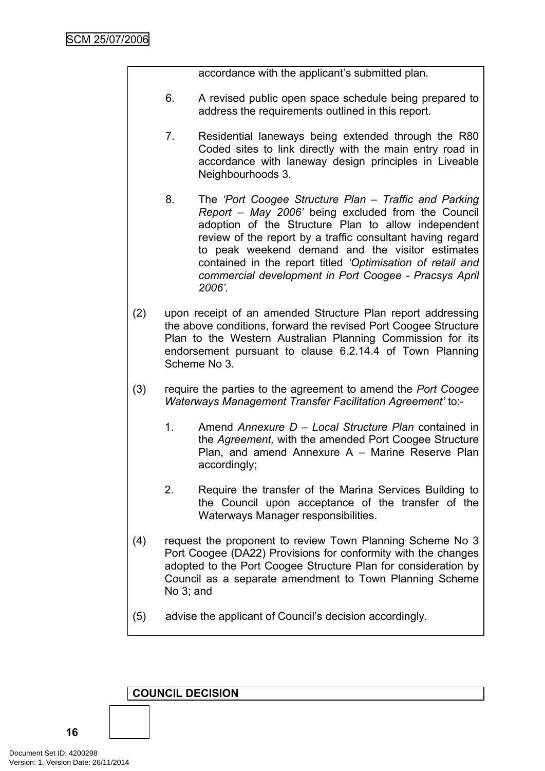accordance with the applicant's submitted plan.

- 6. A revised public open space schedule being prepared to address the requirements outlined in this report.
- 7. Residential laneways being extended through the R80 Coded sites to link directly with the main entry road in accordance with laneway design principles in Liveable Neighbourhoods 3.
- 8. The *'Port Coogee Structure Plan – Traffic and Parking Report – May 2006'* being excluded from the Council adoption of the Structure Plan to allow independent review of the report by a traffic consultant having regard to peak weekend demand and the visitor estimates contained in the report titled *'Optimisation of retail and commercial development in Port Coogee - Pracsys April 2006'.*
- (2) upon receipt of an amended Structure Plan report addressing the above conditions, forward the revised Port Coogee Structure Plan to the Western Australian Planning Commission for its endorsement pursuant to clause 6.2.14.4 of Town Planning Scheme No 3.
- (3) require the parties to the agreement to amend the *Port Coogee Waterways Management Transfer Facilitation Agreement'* to:-
	- 1. Amend *Annexure D – Local Structure Plan* contained in the *Agreement,* with the amended Port Coogee Structure Plan, and amend Annexure A – Marine Reserve Plan accordingly;
	- 2. Require the transfer of the Marina Services Building to the Council upon acceptance of the transfer of the Waterways Manager responsibilities.
- (4) request the proponent to review Town Planning Scheme No 3 Port Coogee (DA22) Provisions for conformity with the changes adopted to the Port Coogee Structure Plan for consideration by Council as a separate amendment to Town Planning Scheme No 3; and
- (5) advise the applicant of Council's decision accordingly.

#### **COUNCIL DECISION**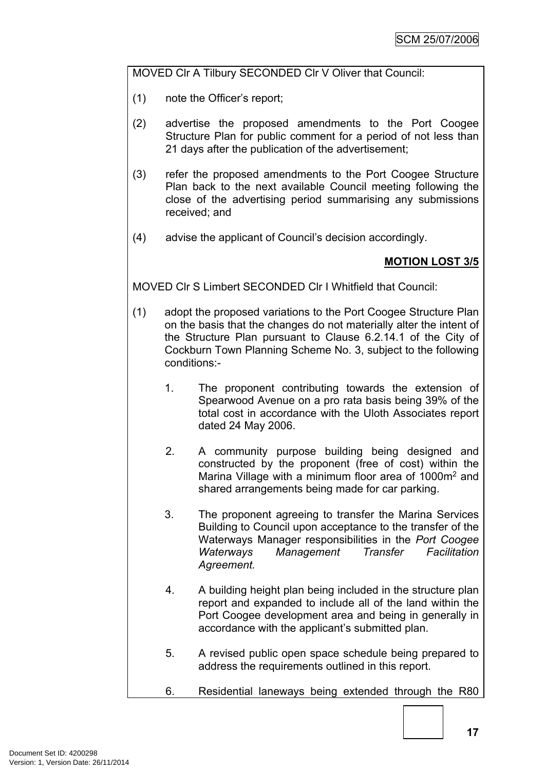MOVED Clr A Tilbury SECONDED Clr V Oliver that Council:

- (1) note the Officer's report;
- (2) advertise the proposed amendments to the Port Coogee Structure Plan for public comment for a period of not less than 21 days after the publication of the advertisement;
- (3) refer the proposed amendments to the Port Coogee Structure Plan back to the next available Council meeting following the close of the advertising period summarising any submissions received; and
- (4) advise the applicant of Council's decision accordingly.

## **MOTION LOST 3/5**

MOVED Clr S Limbert SECONDED Clr I Whitfield that Council:

- (1) adopt the proposed variations to the Port Coogee Structure Plan on the basis that the changes do not materially alter the intent of the Structure Plan pursuant to Clause 6.2.14.1 of the City of Cockburn Town Planning Scheme No. 3, subject to the following conditions:-
	- 1. The proponent contributing towards the extension of Spearwood Avenue on a pro rata basis being 39% of the total cost in accordance with the Uloth Associates report dated 24 May 2006.
	- 2. A community purpose building being designed and constructed by the proponent (free of cost) within the Marina Village with a minimum floor area of 1000m<sup>2</sup> and shared arrangements being made for car parking.
	- 3. The proponent agreeing to transfer the Marina Services Building to Council upon acceptance to the transfer of the Waterways Manager responsibilities in the *Port Coogee Waterways Management Transfer Facilitation Agreement.*
	- 4. A building height plan being included in the structure plan report and expanded to include all of the land within the Port Coogee development area and being in generally in accordance with the applicant's submitted plan.
	- 5. A revised public open space schedule being prepared to address the requirements outlined in this report.
	- 6. Residential laneways being extended through the R80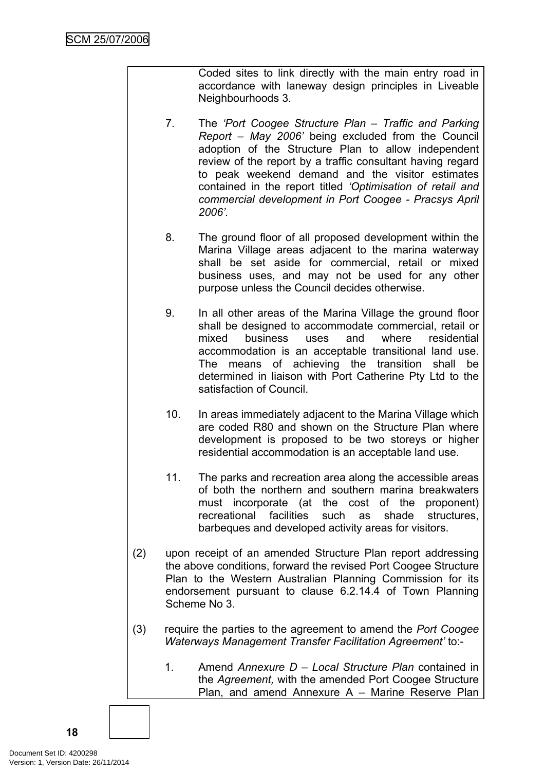Coded sites to link directly with the main entry road in accordance with laneway design principles in Liveable Neighbourhoods 3.

- 7. The *'Port Coogee Structure Plan – Traffic and Parking Report – May 2006'* being excluded from the Council adoption of the Structure Plan to allow independent review of the report by a traffic consultant having regard to peak weekend demand and the visitor estimates contained in the report titled *'Optimisation of retail and commercial development in Port Coogee - Pracsys April 2006'.*
- 8. The ground floor of all proposed development within the Marina Village areas adjacent to the marina waterway shall be set aside for commercial, retail or mixed business uses, and may not be used for any other purpose unless the Council decides otherwise.
- 9. In all other areas of the Marina Village the ground floor shall be designed to accommodate commercial, retail or mixed business uses and where residential accommodation is an acceptable transitional land use. The means of achieving the transition shall be determined in liaison with Port Catherine Pty Ltd to the satisfaction of Council.
- 10. In areas immediately adjacent to the Marina Village which are coded R80 and shown on the Structure Plan where development is proposed to be two storeys or higher residential accommodation is an acceptable land use.
- 11. The parks and recreation area along the accessible areas of both the northern and southern marina breakwaters must incorporate (at the cost of the proponent) recreational facilities such as shade structures, barbeques and developed activity areas for visitors.
- (2) upon receipt of an amended Structure Plan report addressing the above conditions, forward the revised Port Coogee Structure Plan to the Western Australian Planning Commission for its endorsement pursuant to clause 6.2.14.4 of Town Planning Scheme No 3.
- (3) require the parties to the agreement to amend the *Port Coogee Waterways Management Transfer Facilitation Agreement'* to:-
	- 1. Amend *Annexure D – Local Structure Plan* contained in the *Agreement,* with the amended Port Coogee Structure Plan, and amend Annexure A – Marine Reserve Plan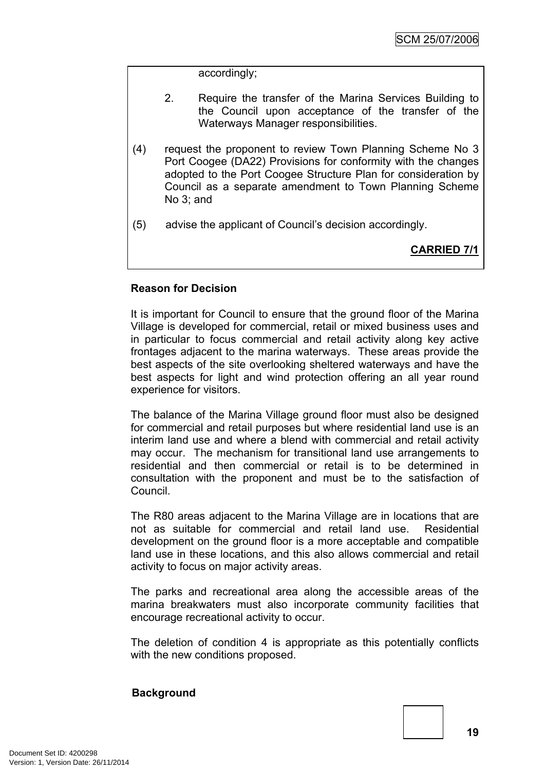accordingly;

- 2. Require the transfer of the Marina Services Building to the Council upon acceptance of the transfer of the Waterways Manager responsibilities.
- (4) request the proponent to review Town Planning Scheme No 3 Port Coogee (DA22) Provisions for conformity with the changes adopted to the Port Coogee Structure Plan for consideration by Council as a separate amendment to Town Planning Scheme No 3; and
- (5) advise the applicant of Council's decision accordingly.

**CARRIED 7/1**

## **Reason for Decision**

It is important for Council to ensure that the ground floor of the Marina Village is developed for commercial, retail or mixed business uses and in particular to focus commercial and retail activity along key active frontages adjacent to the marina waterways. These areas provide the best aspects of the site overlooking sheltered waterways and have the best aspects for light and wind protection offering an all year round experience for visitors.

The balance of the Marina Village ground floor must also be designed for commercial and retail purposes but where residential land use is an interim land use and where a blend with commercial and retail activity may occur. The mechanism for transitional land use arrangements to residential and then commercial or retail is to be determined in consultation with the proponent and must be to the satisfaction of Council.

The R80 areas adjacent to the Marina Village are in locations that are not as suitable for commercial and retail land use. Residential development on the ground floor is a more acceptable and compatible land use in these locations, and this also allows commercial and retail activity to focus on major activity areas.

The parks and recreational area along the accessible areas of the marina breakwaters must also incorporate community facilities that encourage recreational activity to occur.

The deletion of condition 4 is appropriate as this potentially conflicts with the new conditions proposed.

#### **Background**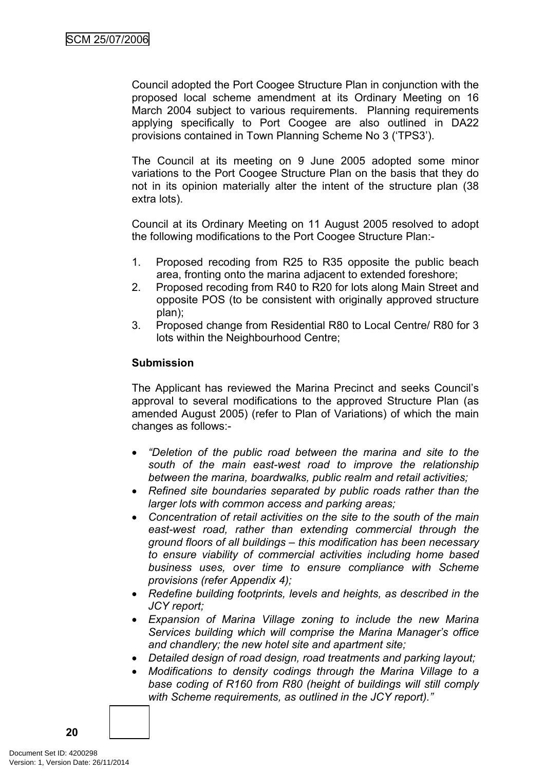Council adopted the Port Coogee Structure Plan in conjunction with the proposed local scheme amendment at its Ordinary Meeting on 16 March 2004 subject to various requirements. Planning requirements applying specifically to Port Coogee are also outlined in DA22 provisions contained in Town Planning Scheme No 3 ('TPS3').

The Council at its meeting on 9 June 2005 adopted some minor variations to the Port Coogee Structure Plan on the basis that they do not in its opinion materially alter the intent of the structure plan (38 extra lots).

Council at its Ordinary Meeting on 11 August 2005 resolved to adopt the following modifications to the Port Coogee Structure Plan:-

- 1. Proposed recoding from R25 to R35 opposite the public beach area, fronting onto the marina adjacent to extended foreshore;
- 2. Proposed recoding from R40 to R20 for lots along Main Street and opposite POS (to be consistent with originally approved structure plan);
- 3. Proposed change from Residential R80 to Local Centre/ R80 for 3 lots within the Neighbourhood Centre;

#### **Submission**

The Applicant has reviewed the Marina Precinct and seeks Council's approval to several modifications to the approved Structure Plan (as amended August 2005) (refer to Plan of Variations) of which the main changes as follows:-

- *"Deletion of the public road between the marina and site to the south of the main east-west road to improve the relationship between the marina, boardwalks, public realm and retail activities;*
- *Refined site boundaries separated by public roads rather than the larger lots with common access and parking areas;*
- *Concentration of retail activities on the site to the south of the main east-west road, rather than extending commercial through the ground floors of all buildings – this modification has been necessary to ensure viability of commercial activities including home based business uses, over time to ensure compliance with Scheme provisions (refer Appendix 4);*
- *Redefine building footprints, levels and heights, as described in the JCY report;*
- *Expansion of Marina Village zoning to include the new Marina Services building which will comprise the Marina Manager's office and chandlery; the new hotel site and apartment site;*
- *Detailed design of road design, road treatments and parking layout;*
- *Modifications to density codings through the Marina Village to a base coding of R160 from R80 (height of buildings will still comply with Scheme requirements, as outlined in the JCY report)."*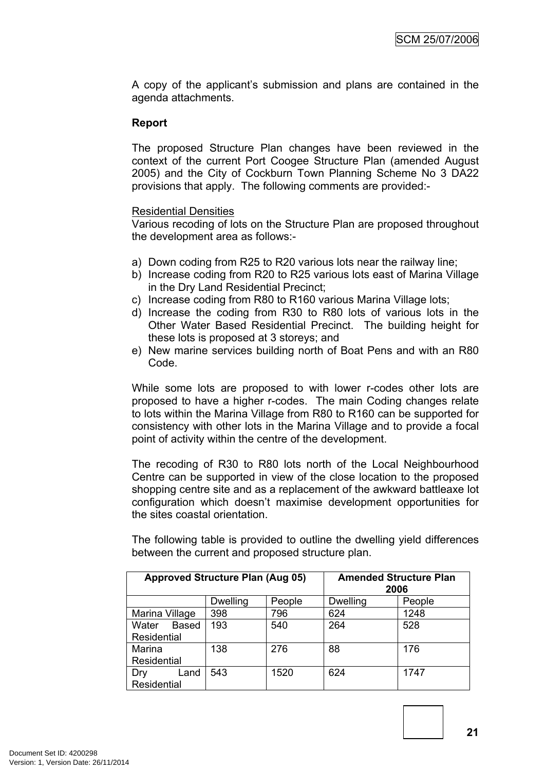A copy of the applicant's submission and plans are contained in the agenda attachments.

#### **Report**

The proposed Structure Plan changes have been reviewed in the context of the current Port Coogee Structure Plan (amended August 2005) and the City of Cockburn Town Planning Scheme No 3 DA22 provisions that apply. The following comments are provided:-

#### Residential Densities

Various recoding of lots on the Structure Plan are proposed throughout the development area as follows:-

- a) Down coding from R25 to R20 various lots near the railway line;
- b) Increase coding from R20 to R25 various lots east of Marina Village in the Dry Land Residential Precinct;
- c) Increase coding from R80 to R160 various Marina Village lots;
- d) Increase the coding from R30 to R80 lots of various lots in the Other Water Based Residential Precinct. The building height for these lots is proposed at 3 storeys; and
- e) New marine services building north of Boat Pens and with an R80 Code.

While some lots are proposed to with lower r-codes other lots are proposed to have a higher r-codes. The main Coding changes relate to lots within the Marina Village from R80 to R160 can be supported for consistency with other lots in the Marina Village and to provide a focal point of activity within the centre of the development.

The recoding of R30 to R80 lots north of the Local Neighbourhood Centre can be supported in view of the close location to the proposed shopping centre site and as a replacement of the awkward battleaxe lot configuration which doesn't maximise development opportunities for the sites coastal orientation.

The following table is provided to outline the dwelling yield differences between the current and proposed structure plan.

| <b>Approved Structure Plan (Aug 05)</b> |                 |        | <b>Amended Structure Plan</b><br>2006 |        |
|-----------------------------------------|-----------------|--------|---------------------------------------|--------|
|                                         | <b>Dwelling</b> | People | <b>Dwelling</b>                       | People |
| Marina Village                          | 398             | 796    | 624                                   | 1248   |
| Based<br>Water                          | 193             | 540    | 264                                   | 528    |
| Residential                             |                 |        |                                       |        |
| Marina                                  | 138             | 276    | 88                                    | 176    |
| Residential                             |                 |        |                                       |        |
| Dry<br>Land                             | 543             | 1520   | 624                                   | 1747   |
| Residential                             |                 |        |                                       |        |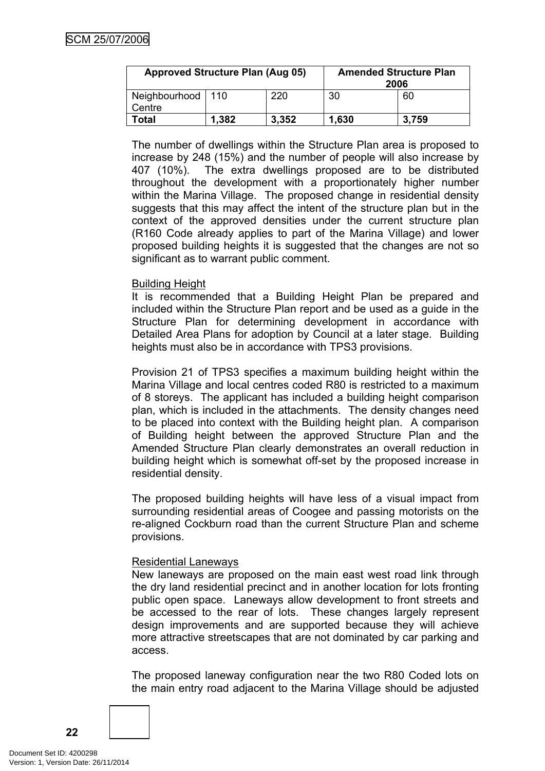| <b>Approved Structure Plan (Aug 05)</b> |       |       | <b>Amended Structure Plan</b><br>2006 |       |
|-----------------------------------------|-------|-------|---------------------------------------|-------|
| Neighbourhood   110<br>Centre           |       | 220   | 30                                    | 60    |
| <b>Total</b>                            | 1.382 | 3,352 | 1,630                                 | 3.759 |

The number of dwellings within the Structure Plan area is proposed to increase by 248 (15%) and the number of people will also increase by 407 (10%). The extra dwellings proposed are to be distributed throughout the development with a proportionately higher number within the Marina Village. The proposed change in residential density suggests that this may affect the intent of the structure plan but in the context of the approved densities under the current structure plan (R160 Code already applies to part of the Marina Village) and lower proposed building heights it is suggested that the changes are not so significant as to warrant public comment.

#### Building Height

It is recommended that a Building Height Plan be prepared and included within the Structure Plan report and be used as a guide in the Structure Plan for determining development in accordance with Detailed Area Plans for adoption by Council at a later stage. Building heights must also be in accordance with TPS3 provisions.

Provision 21 of TPS3 specifies a maximum building height within the Marina Village and local centres coded R80 is restricted to a maximum of 8 storeys. The applicant has included a building height comparison plan, which is included in the attachments. The density changes need to be placed into context with the Building height plan. A comparison of Building height between the approved Structure Plan and the Amended Structure Plan clearly demonstrates an overall reduction in building height which is somewhat off-set by the proposed increase in residential density.

The proposed building heights will have less of a visual impact from surrounding residential areas of Coogee and passing motorists on the re-aligned Cockburn road than the current Structure Plan and scheme provisions.

#### Residential Laneways

New laneways are proposed on the main east west road link through the dry land residential precinct and in another location for lots fronting public open space. Laneways allow development to front streets and be accessed to the rear of lots. These changes largely represent design improvements and are supported because they will achieve more attractive streetscapes that are not dominated by car parking and access.

The proposed laneway configuration near the two R80 Coded lots on the main entry road adjacent to the Marina Village should be adjusted

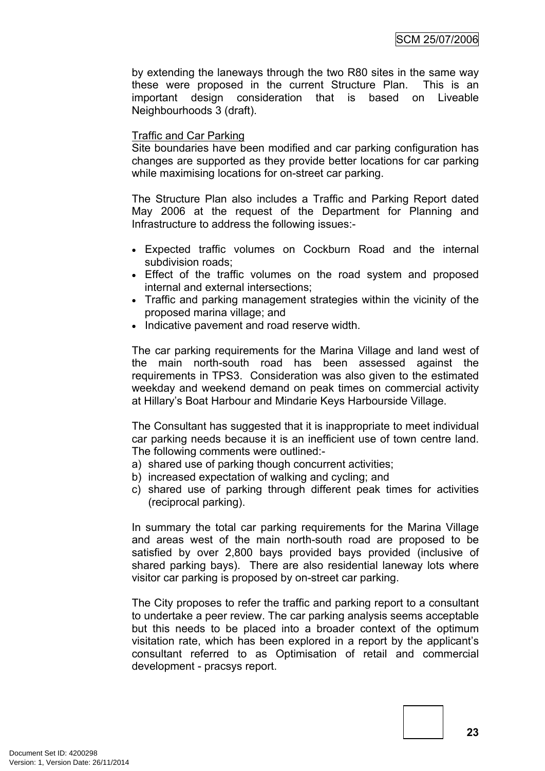by extending the laneways through the two R80 sites in the same way these were proposed in the current Structure Plan. This is an important design consideration that is based on Liveable Neighbourhoods 3 (draft).

#### Traffic and Car Parking

Site boundaries have been modified and car parking configuration has changes are supported as they provide better locations for car parking while maximising locations for on-street car parking.

The Structure Plan also includes a Traffic and Parking Report dated May 2006 at the request of the Department for Planning and Infrastructure to address the following issues:-

- Expected traffic volumes on Cockburn Road and the internal subdivision roads;
- Effect of the traffic volumes on the road system and proposed internal and external intersections;
- Traffic and parking management strategies within the vicinity of the proposed marina village; and
- Indicative pavement and road reserve width.

The car parking requirements for the Marina Village and land west of the main north-south road has been assessed against the requirements in TPS3. Consideration was also given to the estimated weekday and weekend demand on peak times on commercial activity at Hillary's Boat Harbour and Mindarie Keys Harbourside Village.

The Consultant has suggested that it is inappropriate to meet individual car parking needs because it is an inefficient use of town centre land. The following comments were outlined:-

- a) shared use of parking though concurrent activities;
- b) increased expectation of walking and cycling; and
- c) shared use of parking through different peak times for activities (reciprocal parking).

In summary the total car parking requirements for the Marina Village and areas west of the main north-south road are proposed to be satisfied by over 2,800 bays provided bays provided (inclusive of shared parking bays). There are also residential laneway lots where visitor car parking is proposed by on-street car parking.

The City proposes to refer the traffic and parking report to a consultant to undertake a peer review. The car parking analysis seems acceptable but this needs to be placed into a broader context of the optimum visitation rate, which has been explored in a report by the applicant's consultant referred to as Optimisation of retail and commercial development - pracsys report.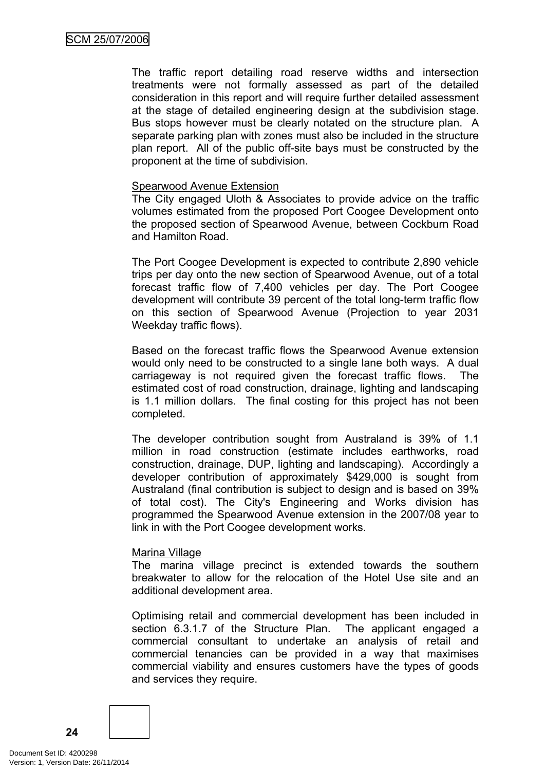The traffic report detailing road reserve widths and intersection treatments were not formally assessed as part of the detailed consideration in this report and will require further detailed assessment at the stage of detailed engineering design at the subdivision stage. Bus stops however must be clearly notated on the structure plan. A separate parking plan with zones must also be included in the structure plan report. All of the public off-site bays must be constructed by the proponent at the time of subdivision.

#### Spearwood Avenue Extension

The City engaged Uloth & Associates to provide advice on the traffic volumes estimated from the proposed Port Coogee Development onto the proposed section of Spearwood Avenue, between Cockburn Road and Hamilton Road.

The Port Coogee Development is expected to contribute 2,890 vehicle trips per day onto the new section of Spearwood Avenue, out of a total forecast traffic flow of 7,400 vehicles per day. The Port Coogee development will contribute 39 percent of the total long-term traffic flow on this section of Spearwood Avenue (Projection to year 2031 Weekday traffic flows).

Based on the forecast traffic flows the Spearwood Avenue extension would only need to be constructed to a single lane both ways. A dual carriageway is not required given the forecast traffic flows. The estimated cost of road construction, drainage, lighting and landscaping is 1.1 million dollars. The final costing for this project has not been completed.

The developer contribution sought from Australand is 39% of 1.1 million in road construction (estimate includes earthworks, road construction, drainage, DUP, lighting and landscaping). Accordingly a developer contribution of approximately \$429,000 is sought from Australand (final contribution is subject to design and is based on 39% of total cost). The City's Engineering and Works division has programmed the Spearwood Avenue extension in the 2007/08 year to link in with the Port Coogee development works.

#### Marina Village

The marina village precinct is extended towards the southern breakwater to allow for the relocation of the Hotel Use site and an additional development area.

Optimising retail and commercial development has been included in section 6.3.1.7 of the Structure Plan. The applicant engaged a commercial consultant to undertake an analysis of retail and commercial tenancies can be provided in a way that maximises commercial viability and ensures customers have the types of goods and services they require.

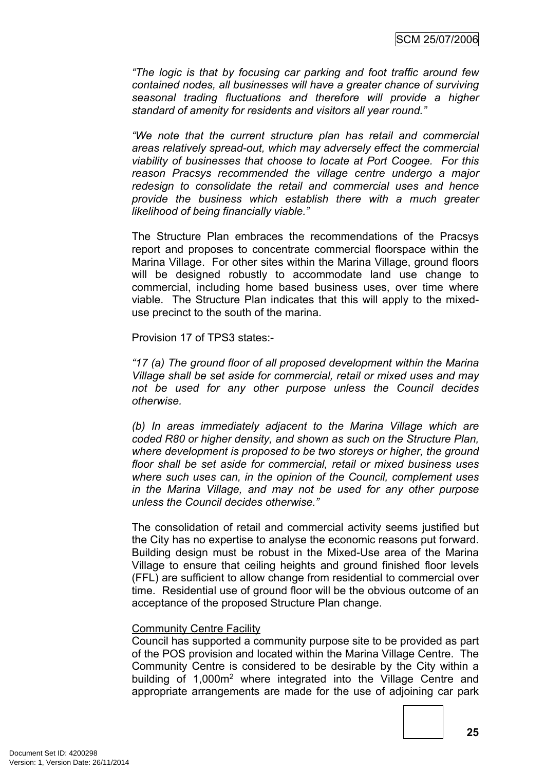*"The logic is that by focusing car parking and foot traffic around few contained nodes, all businesses will have a greater chance of surviving seasonal trading fluctuations and therefore will provide a higher standard of amenity for residents and visitors all year round."*

*"We note that the current structure plan has retail and commercial areas relatively spread-out, which may adversely effect the commercial viability of businesses that choose to locate at Port Coogee. For this reason Pracsys recommended the village centre undergo a major redesign to consolidate the retail and commercial uses and hence provide the business which establish there with a much greater likelihood of being financially viable."*

The Structure Plan embraces the recommendations of the Pracsys report and proposes to concentrate commercial floorspace within the Marina Village. For other sites within the Marina Village, ground floors will be designed robustly to accommodate land use change to commercial, including home based business uses, over time where viable. The Structure Plan indicates that this will apply to the mixeduse precinct to the south of the marina.

Provision 17 of TPS3 states:-

*"17 (a) The ground floor of all proposed development within the Marina Village shall be set aside for commercial, retail or mixed uses and may not be used for any other purpose unless the Council decides otherwise.*

*(b) In areas immediately adjacent to the Marina Village which are coded R80 or higher density, and shown as such on the Structure Plan, where development is proposed to be two storeys or higher, the ground floor shall be set aside for commercial, retail or mixed business uses where such uses can, in the opinion of the Council, complement uses in the Marina Village, and may not be used for any other purpose unless the Council decides otherwise."*

The consolidation of retail and commercial activity seems justified but the City has no expertise to analyse the economic reasons put forward. Building design must be robust in the Mixed-Use area of the Marina Village to ensure that ceiling heights and ground finished floor levels (FFL) are sufficient to allow change from residential to commercial over time. Residential use of ground floor will be the obvious outcome of an acceptance of the proposed Structure Plan change.

#### Community Centre Facility

Council has supported a community purpose site to be provided as part of the POS provision and located within the Marina Village Centre. The Community Centre is considered to be desirable by the City within a building of 1,000m<sup>2</sup> where integrated into the Village Centre and appropriate arrangements are made for the use of adjoining car park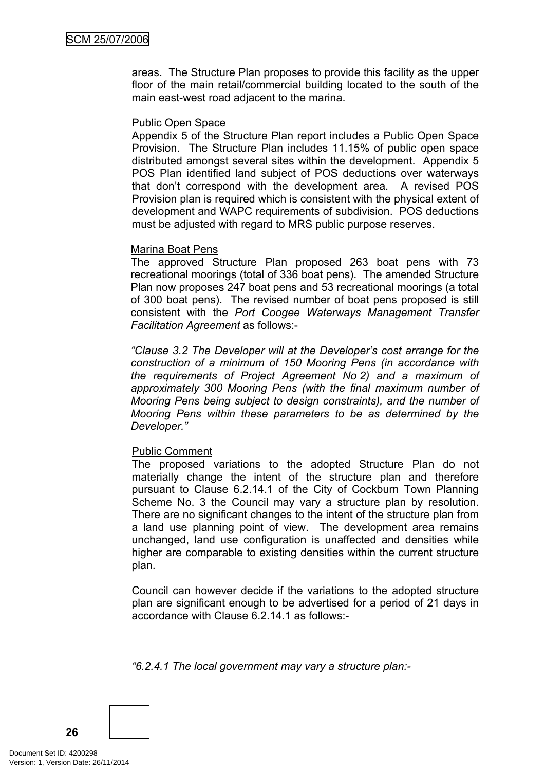areas. The Structure Plan proposes to provide this facility as the upper floor of the main retail/commercial building located to the south of the main east-west road adjacent to the marina.

#### Public Open Space

Appendix 5 of the Structure Plan report includes a Public Open Space Provision. The Structure Plan includes 11.15% of public open space distributed amongst several sites within the development. Appendix 5 POS Plan identified land subject of POS deductions over waterways that don't correspond with the development area. A revised POS Provision plan is required which is consistent with the physical extent of development and WAPC requirements of subdivision. POS deductions must be adjusted with regard to MRS public purpose reserves.

#### Marina Boat Pens

The approved Structure Plan proposed 263 boat pens with 73 recreational moorings (total of 336 boat pens). The amended Structure Plan now proposes 247 boat pens and 53 recreational moorings (a total of 300 boat pens). The revised number of boat pens proposed is still consistent with the *Port Coogee Waterways Management Transfer Facilitation Agreement* as follows:-

*"Clause 3.2 The Developer will at the Developer's cost arrange for the construction of a minimum of 150 Mooring Pens (in accordance with the requirements of Project Agreement No 2) and a maximum of approximately 300 Mooring Pens (with the final maximum number of Mooring Pens being subject to design constraints), and the number of Mooring Pens within these parameters to be as determined by the Developer."*

#### Public Comment

The proposed variations to the adopted Structure Plan do not materially change the intent of the structure plan and therefore pursuant to Clause 6.2.14.1 of the City of Cockburn Town Planning Scheme No. 3 the Council may vary a structure plan by resolution. There are no significant changes to the intent of the structure plan from a land use planning point of view. The development area remains unchanged, land use configuration is unaffected and densities while higher are comparable to existing densities within the current structure plan.

Council can however decide if the variations to the adopted structure plan are significant enough to be advertised for a period of 21 days in accordance with Clause 6.2.14.1 as follows:-

*"6.2.4.1 The local government may vary a structure plan:-*

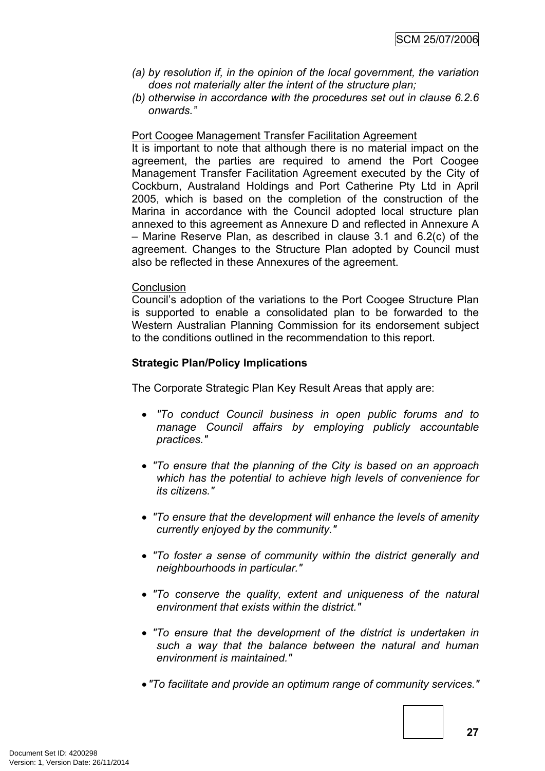- *(a) by resolution if, in the opinion of the local government, the variation does not materially alter the intent of the structure plan;*
- *(b) otherwise in accordance with the procedures set out in clause 6.2.6 onwards."*

#### Port Coogee Management Transfer Facilitation Agreement

It is important to note that although there is no material impact on the agreement, the parties are required to amend the Port Coogee Management Transfer Facilitation Agreement executed by the City of Cockburn, Australand Holdings and Port Catherine Pty Ltd in April 2005, which is based on the completion of the construction of the Marina in accordance with the Council adopted local structure plan annexed to this agreement as Annexure D and reflected in Annexure A – Marine Reserve Plan, as described in clause 3.1 and 6.2(c) of the agreement. Changes to the Structure Plan adopted by Council must also be reflected in these Annexures of the agreement.

#### **Conclusion**

Council's adoption of the variations to the Port Coogee Structure Plan is supported to enable a consolidated plan to be forwarded to the Western Australian Planning Commission for its endorsement subject to the conditions outlined in the recommendation to this report.

#### **Strategic Plan/Policy Implications**

The Corporate Strategic Plan Key Result Areas that apply are:

- *"To conduct Council business in open public forums and to manage Council affairs by employing publicly accountable practices."*
- *"To ensure that the planning of the City is based on an approach which has the potential to achieve high levels of convenience for its citizens."*
- *"To ensure that the development will enhance the levels of amenity currently enjoyed by the community."*
- *"To foster a sense of community within the district generally and neighbourhoods in particular."*
- *"To conserve the quality, extent and uniqueness of the natural environment that exists within the district."*
- *"To ensure that the development of the district is undertaken in such a way that the balance between the natural and human environment is maintained."*
- *"To facilitate and provide an optimum range of community services."*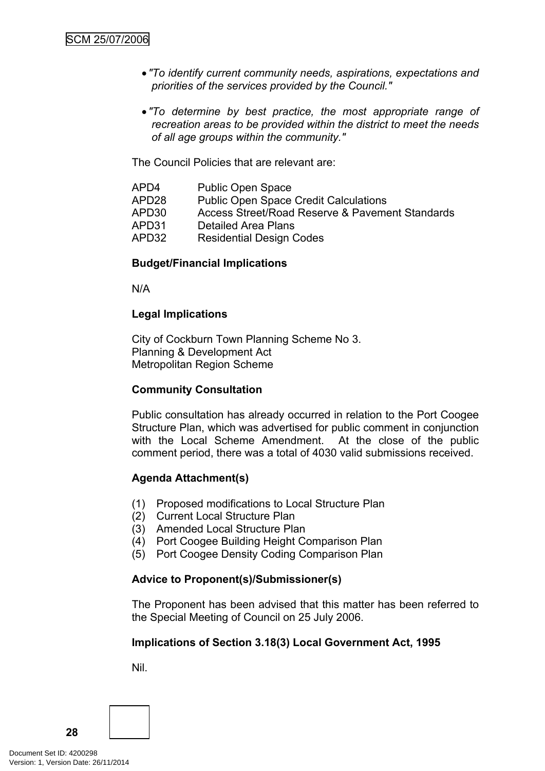- *"To identify current community needs, aspirations, expectations and priorities of the services provided by the Council."*
- *"To determine by best practice, the most appropriate range of recreation areas to be provided within the district to meet the needs of all age groups within the community."*

The Council Policies that are relevant are:

| APD4  | <b>Public Open Space</b>                                   |
|-------|------------------------------------------------------------|
| APD28 | <b>Public Open Space Credit Calculations</b>               |
| APD30 | <b>Access Street/Road Reserve &amp; Pavement Standards</b> |
| APD31 | Detailed Area Plans                                        |
| APD32 | <b>Residential Design Codes</b>                            |
|       |                                                            |

#### **Budget/Financial Implications**

N/A

#### **Legal Implications**

City of Cockburn Town Planning Scheme No 3. Planning & Development Act Metropolitan Region Scheme

#### **Community Consultation**

Public consultation has already occurred in relation to the Port Coogee Structure Plan, which was advertised for public comment in conjunction with the Local Scheme Amendment. At the close of the public comment period, there was a total of 4030 valid submissions received.

#### **Agenda Attachment(s)**

- (1) Proposed modifications to Local Structure Plan
- (2) Current Local Structure Plan
- (3) Amended Local Structure Plan
- (4) Port Coogee Building Height Comparison Plan
- (5) Port Coogee Density Coding Comparison Plan

#### **Advice to Proponent(s)/Submissioner(s)**

The Proponent has been advised that this matter has been referred to the Special Meeting of Council on 25 July 2006.

#### **Implications of Section 3.18(3) Local Government Act, 1995**

Nil.